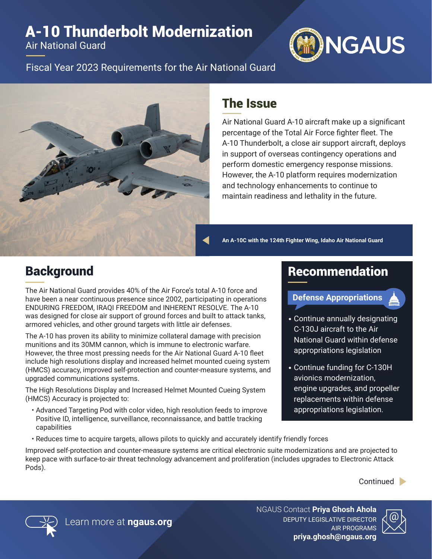## A-10 Thunderbolt Modernization

Air National Guard



Fiscal Year 2023 Requirements for the Air National Guard



## The Issue

Air National Guard A-10 aircraft make up a significant percentage of the Total Air Force fighter fleet. The A-10 Thunderbolt, a close air support aircraft, deploys in support of overseas contingency operations and perform domestic emergency response missions. However, the A-10 platform requires modernization and technology enhancements to continue to maintain readiness and lethality in the future.

**An A-10C with the 124th Fighter Wing, Idaho Air National Guard**

Recommendation

**Defense Appropriations**

• Continue annually designating C-130J aircraft to the Air

National Guard within defense appropriations legislation

engine upgrades, and propeller replacements within defense appropriations legislation.

• Continue funding for C-130H avionics modernization,

## **Background**

The Air National Guard provides 40% of the Air Force's total A-10 force and have been a near continuous presence since 2002, participating in operations ENDURING FREEDOM, IRAQI FREEDOM and INHERENT RESOLVE. The A-10 was designed for close air support of ground forces and built to attack tanks, armored vehicles, and other ground targets with little air defenses.

The A-10 has proven its ability to minimize collateral damage with precision munitions and its 30MM cannon, which is immune to electronic warfare. However, the three most pressing needs for the Air National Guard A-10 fleet include high resolutions display and increased helmet mounted cueing system (HMCS) accuracy, improved self-protection and counter-measure systems, and upgraded communications systems.

The High Resolutions Display and Increased Helmet Mounted Cueing System (HMCS) Accuracy is projected to:

- Advanced Targeting Pod with color video, high resolution feeds to improve Positive ID, intelligence, surveillance, reconnaissance, and battle tracking capabilities
- Reduces time to acquire targets, allows pilots to quickly and accurately identify friendly forces

Improved self-protection and counter-measure systems are critical electronic suite modernizations and are projected to keep pace with surface-to-air threat technology advancement and proliferation (includes upgrades to Electronic Attack Pods).

Continued **D** 



NGAUS Contact **Priya Ghosh Ahola** DEPUTY LEGISLATIVE DIRECTOR AIR PROGRAMS **priya.ghosh@ngaus.org**